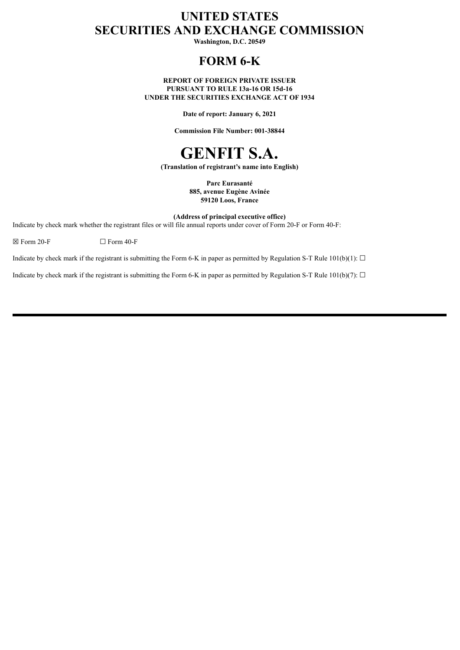# **UNITED STATES SECURITIES AND EXCHANGE COMMISSION**

**Washington, D.C. 20549**

# **FORM 6-K**

**REPORT OF FOREIGN PRIVATE ISSUER PURSUANT TO RULE 13a-16 OR 15d-16 UNDER THE SECURITIES EXCHANGE ACT OF 1934**

**Date of report: January 6, 2021**

**Commission File Number: 001-38844**

# **GENFIT S.A.**

**(Translation of registrant's name into English)**

**Parc Eurasanté 885, avenue Eugène Avinée 59120 Loos, France**

**(Address of principal executive office)**

Indicate by check mark whether the registrant files or will file annual reports under cover of Form 20-F or Form 40-F:

 $\boxtimes$  Form 20-F  $\Box$  Form 40-F

Indicate by check mark if the registrant is submitting the Form 6-K in paper as permitted by Regulation S-T Rule 101(b)(1):  $\Box$ 

Indicate by check mark if the registrant is submitting the Form 6-K in paper as permitted by Regulation S-T Rule 101(b)(7):  $\Box$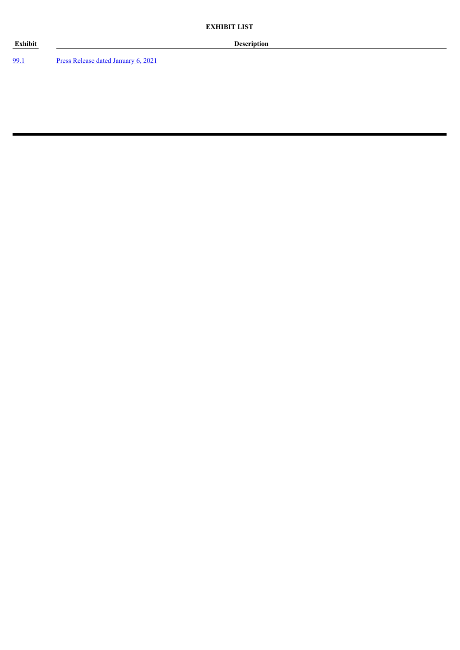[99.1](#page-3-0) Press Release dated [January](#page-3-0) 6, 2021

**Exhibit Description**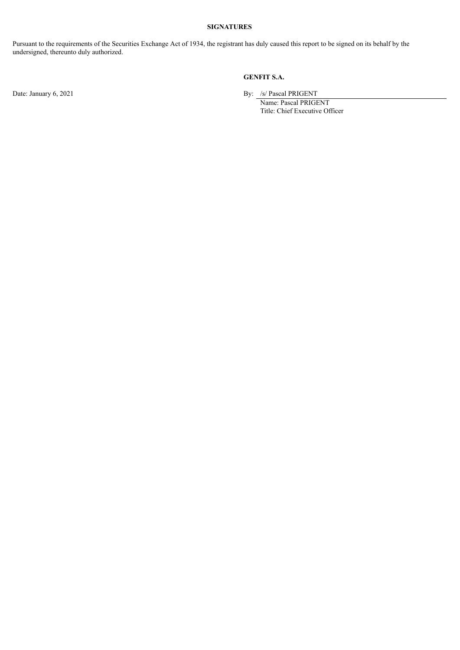# **SIGNATURES**

Pursuant to the requirements of the Securities Exchange Act of 1934, the registrant has duly caused this report to be signed on its behalf by the undersigned, thereunto duly authorized.

# **GENFIT S.A.**

Date: January 6, 2021 By: /s/ Pascal PRIGENT

Name: Pascal PRIGENT Title: Chief Executive Officer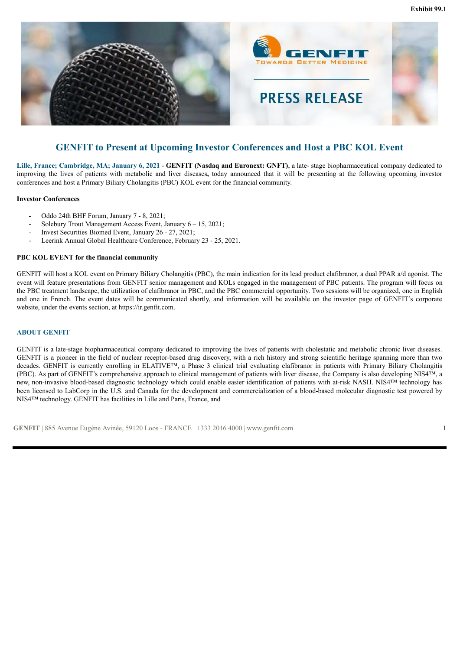<span id="page-3-0"></span>

# **GENFIT to Present at Upcoming Investor Conferences and Host a PBC KOL Event**

**Lille, France; Cambridge, MA; January 6, 2021** - **GENFIT (Nasdaq and Euronext: GNFT)**, a late- stage biopharmaceutical company dedicated to improving the lives of patients with metabolic and liver diseases**,** today announced that it will be presenting at the following upcoming investor conferences and host a Primary Biliary Cholangitis (PBC) KOL event for the financial community.

#### **Investor Conferences**

- Oddo 24th BHF Forum, January 7 8, 2021;
- Solebury Trout Management Access Event, January 6 15, 2021;
- Invest Securities Biomed Event, January 26 27, 2021;
- Leerink Annual Global Healthcare Conference, February 23 25, 2021.

#### **PBC KOL EVENT for the financial community**

GENFIT will host a KOL event on Primary Biliary Cholangitis (PBC), the main indication for its lead product elafibranor, a dual PPAR a/d agonist. The event will feature presentations from GENFIT senior management and KOLs engaged in the management of PBC patients. The program will focus on the PBC treatment landscape, the utilization of elafibranor in PBC, and the PBC commercial opportunity. Two sessions will be organized, one in English and one in French. The event dates will be communicated shortly, and information will be available on the investor page of GENFIT's corporate website, under the events section, at https://ir.genfit.com.

#### **ABOUT GENFIT**

GENFIT is a late-stage biopharmaceutical company dedicated to improving the lives of patients with cholestatic and metabolic chronic liver diseases. GENFIT is a pioneer in the field of nuclear receptor-based drug discovery, with a rich history and strong scientific heritage spanning more than two decades. GENFIT is currently enrolling in ELATIVE™, a Phase 3 clinical trial evaluating elafibranor in patients with Primary Biliary Cholangitis (PBC). As part of GENFIT's comprehensive approach to clinical management of patients with liver disease, the Company is also developing NIS4™, a new, non-invasive blood-based diagnostic technology which could enable easier identification of patients with at-risk NASH. NIS4™ technology has been licensed to LabCorp in the U.S. and Canada for the development and commercialization of a blood-based molecular diagnostic test powered by NIS4™ technology. GENFIT has facilities in Lille and Paris, France, and

**GENFIT** | 885 Avenue Eugène Avinée, 59120 Loos - FRANCE | +333 2016 4000 | www.genfit.com 1